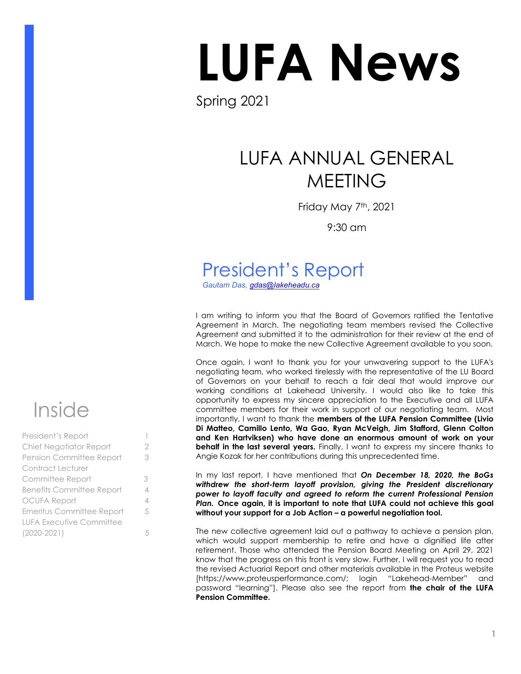# LUFA News

Spring 2021

## LUFA ANNUAL GENERAL MEETING

Friday May 7th, 2021

9:30 am

# President's Report

*Gautam Das, [gdas@lakeheadu.ca](mailto:gdas@lakeheadu.ca)*

I am writing to inform you that the Board of Governors ratified the Tentative Agreement in March. The negotiating team members revised the Collective Agreement and submitted it to the administration for their review at the end of March. We hope to make the new Collective Agreement available to you soon.

Once again, I want to thank you for your unwavering support to the LUFA's negotiating team, who worked tirelessly with the representative of the LU Board of Governors on your behalf to reach a fair deal that would improve our working conditions at Lakehead University. I would also like to take this opportunity to express my sincere appreciation to the Executive and all LUFA committee members for their work in support of our negotiating team. Most importantly, I want to thank the **members of the LUFA Pension Committee (Livio Di Matteo, Camillo Lento, Wa Gao, Ryan McVeigh, Jim Stafford, Glenn Colton and Ken Hartviksen) who have done an enormous amount of work on your behalf in the last several years.** Finally, I want to express my sincere thanks to Angie Kozak for her contributions during this unprecedented time.

In my last report, I have mentioned that *On December 18, 2020, the BoGs withdrew the short-term layoff provision, giving the President discretionary power to layoff faculty and agreed to reform the current Professional Pension Plan.* **Once again, it is important to note that LUFA could not achieve this goal without your support for a Job Action – a powerful negotiation tool.** 

The new collective agreement laid out a pathway to achieve a pension plan, which would support membership to retire and have a dignified life after retirement. Those who attended the Pension Board Meeting on April 29, 2021 know that the progress on this front is very slow. Further, I will request you to read the revised Actuarial Report and other materials available in the Proteus website [https://www.proteusperformance.com/; login "Lakehead-Member" and password "learning"]. Please also see the report from **the chair of the LUFA Pension Committee.** 

# Inside

| President's Report               |   |
|----------------------------------|---|
| Chief Negotiator Report          | 2 |
| Pension Committee Report         | 3 |
| Contract Lecturer                |   |
| Committee Report                 | 3 |
| <b>Benefits Committee Report</b> | 4 |
| <b>OCUFA Report</b>              | 4 |
| Emeritus Committee Report        | 5 |
| <b>LUFA Executive Committee</b>  |   |
| $(2020 - 2021)$                  | 5 |
|                                  |   |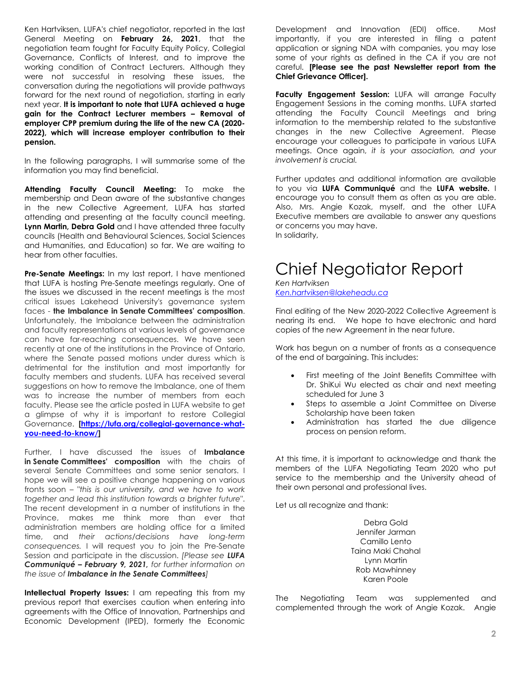Ken Hartviksen, LUFA's chief negotiator, reported in the last General Meeting on **February 26, 2021**, that the negotiation team fought for Faculty Equity Policy, Collegial Governance, Conflicts of Interest, and to improve the working condition of Contract Lecturers. Although they were not successful in resolving these issues, the conversation during the negotiations will provide pathways forward for the next round of negotiation, starting in early next year. **It is important to note that LUFA achieved a huge gain for the Contract Lecturer members – Removal of employer CPP premium during the life of the new CA (2020- 2022), which will increase employer contribution to their pension.** 

In the following paragraphs, I will summarise some of the information you may find beneficial.

**Attending Faculty Council Meeting:** To make the membership and Dean aware of the substantive changes in the new Collective Agreement, LUFA has started attending and presenting at the faculty council meeting. **Lynn Martin, Debra Gold** and I have attended three faculty councils (Health and Behavioural Sciences, Social Sciences and Humanities, and Education) so far. We are waiting to hear from other faculties.

**Pre-Senate Meetings:** In my last report, I have mentioned that LUFA is hosting Pre-Senate meetings regularly. One of the issues we discussed in the recent meetings is the most critical issues Lakehead University's governance system faces - **the Imbalance in Senate Committees' composition**. Unfortunately, the Imbalance between the administration and faculty representations at various levels of governance can have far-reaching consequences. We have seen recently at one of the institutions in the Province of Ontario, where the Senate passed motions under duress which is detrimental for the institution and most importantly for faculty members and students. LUFA has received several suggestions on how to remove the Imbalance, one of them was to increase the number of members from each faculty. Please see the article posted in LUFA website to get a glimpse of why it is important to restore Collegial Governance. **[\[https://lufa.org/collegial-governance-what](https://lufa.org/collegial-governance-what-you-need-to-know/)[you-need-to-know/\]](https://lufa.org/collegial-governance-what-you-need-to-know/)** 

Further, I have discussed the issues of **Imbalance in Senate Committees' composition** with the chairs of several Senate Committees and some senior senators. I hope we will see a positive change happening on various fronts soon – "*this is our university, and we have to work together and lead this institution towards a brighter future*". The recent development in a number of institutions in the Province, makes me think more than ever that administration members are holding office for a limited time, and *their actions/decisions have long-term consequences.* I will request you to join the Pre-Senate Session and participate in the discussion. *[Please see LUFA Communiqué – February 9, 2021, for further information on the issue of Imbalance in the Senate Committees]*

**Intellectual Property Issues:** I am repeating this from my previous report that exercises caution when entering into agreements with the Office of Innovation, Partnerships and Economic Development (IPED), formerly the Economic

Development and Innovation (EDI) office. Most importantly, if you are interested in filing a patent application or signing NDA with companies, you may lose some of your rights as defined in the CA if you are not careful. **[Please see the past Newsletter report from the Chief Grievance Officer].** 

Faculty Engagement Session: LUFA will arrange Faculty Engagement Sessions in the coming months. LUFA started attending the Faculty Council Meetings and bring information to the membership related to the substantive changes in the new Collective Agreement. Please encourage your colleagues to participate in various LUFA meetings. Once again, *it is your association, and your involvement is crucial.* 

Further updates and additional information are available to you via **LUFA Communiqué** and the **LUFA website.** I encourage you to consult them as often as you are able. Also, Mrs. Angie Kozak, myself, and the other LUFA Executive members are available to answer any questions or concerns you may have. In solidarity,

## Chief Negotiator Report

*Ken Hartviksen [Ken.hartviksen@lakeheadu.ca](mailto:Ken.hartviksen@lakeheadu.ca)* 

Final editing of the New 2020-2022 Collective Agreement is nearing its end. We hope to have electronic and hard copies of the new Agreement in the near future.

Work has begun on a number of fronts as a consequence of the end of bargaining. This includes:

- First meeting of the Joint Benefits Committee with Dr. ShiKui Wu elected as chair and next meeting scheduled for June 3
- Steps to assemble a Joint Committee on Diverse Scholarship have been taken
- Administration has started the due diligence process on pension reform.

At this time, it is important to acknowledge and thank the members of the LUFA Negotiating Team 2020 who put service to the membership and the University ahead of their own personal and professional lives.

Let us all recognize and thank:

Debra Gold Jennifer Jarman Camillo Lento Taina Maki Chahal Lynn Martin Rob Mawhinney Karen Poole

The Negotiating Team was supplemented and complemented through the work of Angie Kozak. Angie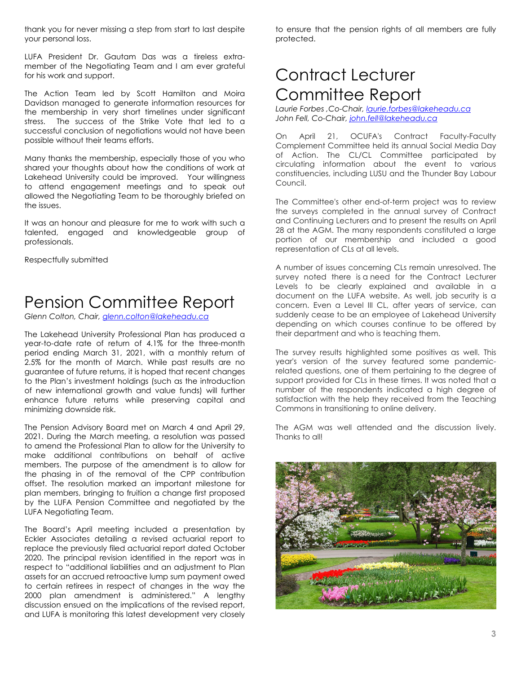thank you for never missing a step from start to last despite your personal loss.

LUFA President Dr. Gautam Das was a tireless extramember of the Negotiating Team and I am ever grateful for his work and support.

The Action Team led by Scott Hamilton and Moira Davidson managed to generate information resources for the membership in very short timelines under significant stress. The success of the Strike Vote that led to a successful conclusion of negotiations would not have been possible without their teams efforts.

Many thanks the membership, especially those of you who shared your thoughts about how the conditions of work at Lakehead University could be improved. Your willingness to attend engagement meetings and to speak out allowed the Negotiating Team to be thoroughly briefed on the issues.

It was an honour and pleasure for me to work with such a talented, engaged and knowledgeable group of professionals.

Respectfully submitted

## Pension Committee Report

*Glenn Colton, Chair[, glenn.colton@lakeheadu.ca](mailto:glenn.colton@lakeheadu.ca)*

The Lakehead University Professional Plan has produced a year-to-date rate of return of 4.1% for the three-month period ending March 31, 2021, with a monthly return of 2.5% for the month of March. While past results are no guarantee of future returns, it is hoped that recent changes to the Plan's investment holdings (such as the introduction of new international growth and value funds) will further enhance future returns while preserving capital and minimizing downside risk.

The Pension Advisory Board met on March 4 and April 29, 2021. During the March meeting, a resolution was passed to amend the Professional Plan to allow for the University to make additional contributions on behalf of active members. The purpose of the amendment is to allow for the phasing in of the removal of the CPP contribution offset. The resolution marked an important milestone for plan members, bringing to fruition a change first proposed by the LUFA Pension Committee and negotiated by the LUFA Negotiating Team.

The Board's April meeting included a presentation by Eckler Associates detailing a revised actuarial report to replace the previously filed actuarial report dated October 2020. The principal revision identified in the report was in respect to "additional liabilities and an adjustment to Plan assets for an accrued retroactive lump sum payment owed to certain retirees in respect of changes in the way the 2000 plan amendment is administered." A lengthy discussion ensued on the implications of the revised report, and LUFA is monitoring this latest development very closely

to ensure that the pension rights of all members are fully protected.

## Contract Lecturer Committee Report

*Laurie Forbes ,Co-Chair, [laurie.forbes@lakeheadu.ca](mailto:laurie.forbes@lakeheadu.ca)  John Fell, Co-Chair, [john.fell@lakeheadu.ca](mailto:john.fell@lakeheadu.ca)*

On April 21, OCUFA's Contract Faculty-Faculty Complement Committee held its annual Social Media Day of Action. The CL/CL Committee participated by circulating information about the event to various constituencies, including LUSU and the Thunder Bay Labour Council.

The Committee's other end-of-term project was to review the surveys completed in the annual survey of Contract and Continuing Lecturers and to present the results on April 28 at the AGM. The many respondents constituted a large portion of our membership and included a good representation of CLs at all levels.

A number of issues concerning CLs remain unresolved. The survey noted there is a need for the Contract Lecturer Levels to be clearly explained and available in a document on the LUFA website. As well, job security is a concern. Even a Level III CL, after years of service, can suddenly cease to be an employee of Lakehead University depending on which courses continue to be offered by their department and who is teaching them.

The survey results highlighted some positives as well. This year's version of the survey featured some pandemicrelated questions, one of them pertaining to the degree of support provided for CLs in these times. It was noted that a number of the respondents indicated a high degree of satisfaction with the help they received from the Teaching Commons in transitioning to online delivery.

The AGM was well attended and the discussion lively. Thanks to all!

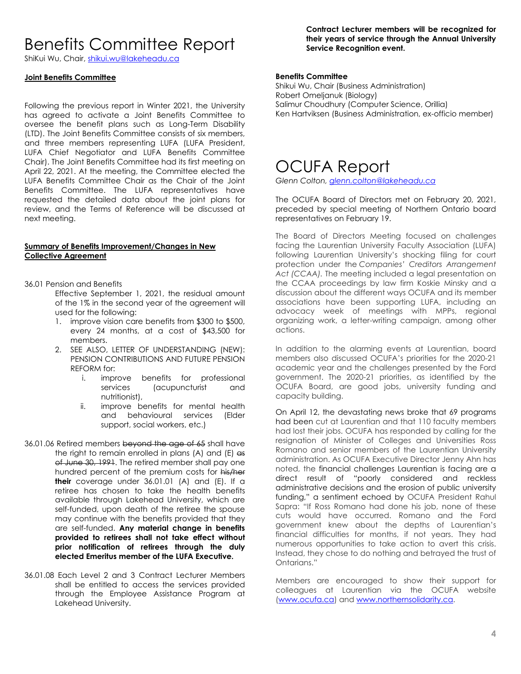#### Benefits Committee Report

ShiKui Wu, Chair, [shikui.wu@lakeheadu.ca](about:blank)

#### **Joint Benefits Committee**

Following the previous report in Winter 2021, the University has agreed to activate a Joint Benefits Committee to oversee the benefit plans such as Long-Term Disability (LTD). The Joint Benefits Committee consists of six members, and three members representing LUFA (LUFA President, LUFA Chief Negotiator and LUFA Benefits Committee Chair). The Joint Benefits Committee had its first meeting on April 22, 2021. At the meeting, the Committee elected the LUFA Benefits Committee Chair as the Chair of the Joint Benefits Committee. The LUFA representatives have requested the detailed data about the joint plans for review, and the Terms of Reference will be discussed at next meeting.

#### **Summary of Benefits Improvement/Changes in New Collective Agreement**

- 36.01 Pension and Benefits
	- Effective September 1, 2021, the residual amount of the 1% in the second year of the agreement will used for the following:
	- 1. improve vision care benefits from \$300 to \$500, every 24 months, at a cost of \$43,500 for members.
	- 2. SEE ALSO, LETTER OF UNDERSTANDING (NEW): PENSION CONTRIBUTIONS AND FUTURE PENSION REFORM for:
		- i. improve benefits for professional services (acupuncturist and nutritionist),
		- ii. improve benefits for mental health and behavioural services (Elder support, social workers, etc.)
- 36.01.06 Retired members beyond the age of 65 shall have the right to remain enrolled in plans  $(A)$  and  $(E)$  as of June 30, 1991. The retired member shall pay one hundred percent of the premium costs for his/her **their** coverage under 36.01.01 (A) and (E). If a retiree has chosen to take the health benefits available through Lakehead University, which are self-funded, upon death of the retiree the spouse may continue with the benefits provided that they are self-funded. **Any material change in benefits provided to retirees shall not take effect without prior notification of retirees through the duly elected Emeritus member of the LUFA Executive.**
- 36.01.08 Each Level 2 and 3 Contract Lecturer Members shall be entitled to access the services provided through the Employee Assistance Program at Lakehead University.

**Contract Lecturer members will be recognized for their years of service through the Annual University Service Recognition event.**

#### **Benefits Committee**

Shikui Wu, Chair (Business Administration) Robert Omeljanuk (Biology) Salimur Choudhury (Computer Science, Orillia) Ken Hartviksen (Business Administration, ex-officio member)

#### OCUFA Report

*Glenn Colton, [glenn.colton@lakeheadu.ca](mailto:glenn.colton@lakeheadu.ca)*

The OCUFA Board of Directors met on February 20, 2021, preceded by special meeting of Northern Ontario board representatives on February 19.

The Board of Directors Meeting focused on challenges facing the Laurentian University Faculty Association (LUFA) following Laurentian University's shocking filing for court protection under the *Companies' Creditors Arrangement Act (CCAA).* The meeting included a legal presentation on the CCAA proceedings by law firm Koskie Minsky and a discussion about the different ways OCUFA and its member associations have been supporting LUFA, including an advocacy week of meetings with MPPs, regional organizing work, a letter-writing campaign, among other actions.

In addition to the alarming events at Laurentian, board members also discussed OCUFA's priorities for the 2020-21 academic year and the challenges presented by the Ford government. The 2020-21 priorities, as identified by the OCUFA Board, are good jobs, university funding and capacity building.

On April 12, the devastating news broke that 69 programs had been cut at Laurentian and that 110 faculty members had lost their jobs. OCUFA has responded by calling for the resignation of Minister of Colleges and Universities Ross Romano and senior members of the Laurentian University administration. As OCUFA Executive Director Jenny Ahn has noted, the financial challenges Laurentian is facing are a direct result of "poorly considered and reckless administrative decisions and the erosion of public university funding," a sentiment echoed by OCUFA President Rahul Sapra: "If Ross Romano had done his job, none of these cuts would have occurred. Romano and the Ford government knew about the depths of Laurentian's financial difficulties for months, if not years. They had numerous opportunities to take action to avert this crisis. Instead, they chose to do nothing and betrayed the trust of Ontarians."

Members are encouraged to show their support for colleagues at Laurentian via the OCUFA website [\(www.ocufa.ca\)](http://www.ocufa.ca/) and [www.northernsolidarity.ca.](http://www.northernsolidarity.ca/)